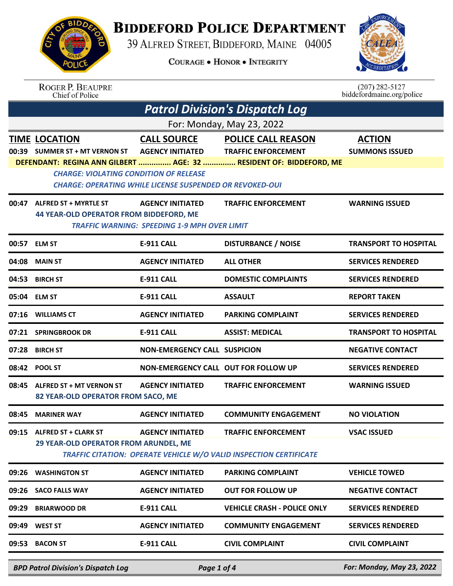

## **BIDDEFORD POLICE DEPARTMENT**

39 ALFRED STREET, BIDDEFORD, MAINE 04005

**COURAGE . HONOR . INTEGRITY** 



ROGER P. BEAUPRE<br>Chief of Police

 $(207)$  282-5127 biddefordmaine.org/police

| <b>Patrol Division's Dispatch Log</b> |                                                                                                                  |                                                                                |                                                                                                             |                                        |  |  |
|---------------------------------------|------------------------------------------------------------------------------------------------------------------|--------------------------------------------------------------------------------|-------------------------------------------------------------------------------------------------------------|----------------------------------------|--|--|
| For: Monday, May 23, 2022             |                                                                                                                  |                                                                                |                                                                                                             |                                        |  |  |
|                                       | <b>TIME LOCATION</b><br>00:39 SUMMER ST + MT VERNON ST    AGENCY INITIATED    TRAFFIC ENFORCEMENT                |                                                                                | <b>CALL SOURCE POLICE CALL REASON</b><br>DEFENDANT: REGINA ANN GILBERT  AGE: 32  RESIDENT OF: BIDDEFORD, ME | <b>ACTION</b><br><b>SUMMONS ISSUED</b> |  |  |
|                                       | <b>CHARGE: VIOLATING CONDITION OF RELEASE</b><br><b>CHARGE: OPERATING WHILE LICENSE SUSPENDED OR REVOKED-OUI</b> |                                                                                |                                                                                                             |                                        |  |  |
|                                       | 00:47 ALFRED ST + MYRTLE ST<br><b>44 YEAR-OLD OPERATOR FROM BIDDEFORD, ME</b>                                    | <b>AGENCY INITIATED</b><br><b>TRAFFIC WARNING: SPEEDING 1-9 MPH OVER LIMIT</b> | <b>TRAFFIC ENFORCEMENT</b>                                                                                  | <b>WARNING ISSUED</b>                  |  |  |
|                                       | 00:57 ELM ST                                                                                                     | <b>E-911 CALL</b>                                                              | <b>DISTURBANCE / NOISE</b>                                                                                  | <b>TRANSPORT TO HOSPITAL</b>           |  |  |
|                                       | 04:08 MAIN ST                                                                                                    | <b>AGENCY INITIATED</b>                                                        | <b>ALL OTHER</b>                                                                                            | <b>SERVICES RENDERED</b>               |  |  |
|                                       | 04:53 BIRCH ST                                                                                                   | <b>E-911 CALL</b>                                                              | <b>DOMESTIC COMPLAINTS</b>                                                                                  | <b>SERVICES RENDERED</b>               |  |  |
|                                       | 05:04 ELM ST                                                                                                     | <b>E-911 CALL</b>                                                              | <b>ASSAULT</b>                                                                                              | <b>REPORT TAKEN</b>                    |  |  |
|                                       | 07:16 WILLIAMS CT                                                                                                | <b>AGENCY INITIATED</b>                                                        | <b>PARKING COMPLAINT</b>                                                                                    | <b>SERVICES RENDERED</b>               |  |  |
|                                       | 07:21 SPRINGBROOK DR                                                                                             | <b>E-911 CALL</b>                                                              | <b>ASSIST: MEDICAL</b>                                                                                      | <b>TRANSPORT TO HOSPITAL</b>           |  |  |
|                                       | 07:28 BIRCH ST                                                                                                   | <b>NON-EMERGENCY CALL SUSPICION</b>                                            |                                                                                                             | <b>NEGATIVE CONTACT</b>                |  |  |
|                                       | 08:42 POOL ST                                                                                                    | NON-EMERGENCY CALL OUT FOR FOLLOW UP                                           |                                                                                                             | <b>SERVICES RENDERED</b>               |  |  |
|                                       | 08:45 ALFRED ST + MT VERNON ST<br>82 YEAR-OLD OPERATOR FROM SACO, ME                                             | AGENCY INITIATED                                                               | <b>TRAFFIC ENFORCEMENT</b>                                                                                  | <b>WARNING ISSUED</b>                  |  |  |
| 08:45                                 | <b>MARINER WAY</b>                                                                                               | <b>AGENCY INITIATED</b>                                                        | <b>COMMUNITY ENGAGEMENT</b>                                                                                 | <b>NO VIOLATION</b>                    |  |  |
|                                       | 09:15 ALFRED ST + CLARK ST<br>29 YEAR-OLD OPERATOR FROM ARUNDEL, ME                                              | <b>AGENCY INITIATED</b>                                                        | <b>TRAFFIC ENFORCEMENT</b><br><b>TRAFFIC CITATION: OPERATE VEHICLE W/O VALID INSPECTION CERTIFICATE</b>     | <b>VSAC ISSUED</b>                     |  |  |
| 09:26                                 | <b>WASHINGTON ST</b>                                                                                             | <b>AGENCY INITIATED</b>                                                        | <b>PARKING COMPLAINT</b>                                                                                    | <b>VEHICLE TOWED</b>                   |  |  |
| 09:26                                 | <b>SACO FALLS WAY</b>                                                                                            | <b>AGENCY INITIATED</b>                                                        | <b>OUT FOR FOLLOW UP</b>                                                                                    | <b>NEGATIVE CONTACT</b>                |  |  |
| 09:29                                 | <b>BRIARWOOD DR</b>                                                                                              | <b>E-911 CALL</b>                                                              | <b>VEHICLE CRASH - POLICE ONLY</b>                                                                          | <b>SERVICES RENDERED</b>               |  |  |
| 09:49                                 | <b>WEST ST</b>                                                                                                   | <b>AGENCY INITIATED</b>                                                        | <b>COMMUNITY ENGAGEMENT</b>                                                                                 | <b>SERVICES RENDERED</b>               |  |  |
|                                       | 09:53 BACON ST                                                                                                   | <b>E-911 CALL</b>                                                              | <b>CIVIL COMPLAINT</b>                                                                                      | <b>CIVIL COMPLAINT</b>                 |  |  |
|                                       | <b>BPD Patrol Division's Dispatch Log</b>                                                                        | Page 1 of 4                                                                    |                                                                                                             | For: Monday, May 23, 2022              |  |  |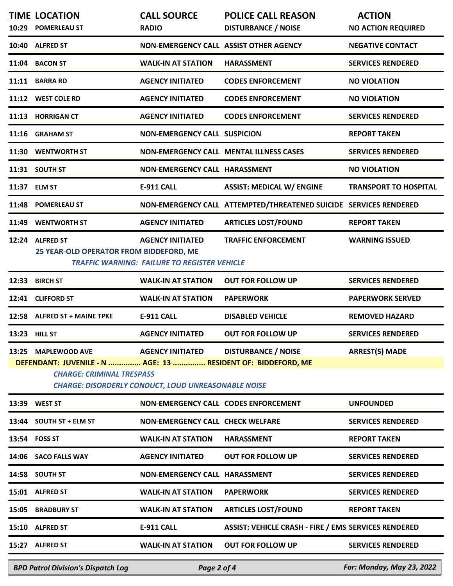|                                                                                                                                                                                                                                                                         | <b>TIME LOCATION</b><br>10:29 POMERLEAU ST                 | <b>CALL SOURCE</b><br><b>RADIO</b>                                             | <b>POLICE CALL REASON</b><br><b>DISTURBANCE / NOISE</b>           | <b>ACTION</b><br><b>NO ACTION REQUIRED</b> |
|-------------------------------------------------------------------------------------------------------------------------------------------------------------------------------------------------------------------------------------------------------------------------|------------------------------------------------------------|--------------------------------------------------------------------------------|-------------------------------------------------------------------|--------------------------------------------|
|                                                                                                                                                                                                                                                                         | 10:40 ALFRED ST                                            | NON-EMERGENCY CALL ASSIST OTHER AGENCY                                         |                                                                   | <b>NEGATIVE CONTACT</b>                    |
|                                                                                                                                                                                                                                                                         | 11:04 BACON ST                                             | <b>WALK-IN AT STATION</b>                                                      | <b>HARASSMENT</b>                                                 | <b>SERVICES RENDERED</b>                   |
|                                                                                                                                                                                                                                                                         | 11:11 BARRA RD                                             | <b>AGENCY INITIATED</b>                                                        | <b>CODES ENFORCEMENT</b>                                          | <b>NO VIOLATION</b>                        |
|                                                                                                                                                                                                                                                                         | 11:12 WEST COLE RD                                         | <b>AGENCY INITIATED</b>                                                        | <b>CODES ENFORCEMENT</b>                                          | <b>NO VIOLATION</b>                        |
|                                                                                                                                                                                                                                                                         | 11:13 HORRIGAN CT                                          | <b>AGENCY INITIATED</b>                                                        | <b>CODES ENFORCEMENT</b>                                          | <b>SERVICES RENDERED</b>                   |
|                                                                                                                                                                                                                                                                         | 11:16 GRAHAM ST                                            | <b>NON-EMERGENCY CALL SUSPICION</b>                                            |                                                                   | <b>REPORT TAKEN</b>                        |
|                                                                                                                                                                                                                                                                         | 11:30 WENTWORTH ST                                         |                                                                                | NON-EMERGENCY CALL MENTAL ILLNESS CASES                           | <b>SERVICES RENDERED</b>                   |
|                                                                                                                                                                                                                                                                         | 11:31 SOUTH ST                                             | NON-EMERGENCY CALL HARASSMENT                                                  |                                                                   | <b>NO VIOLATION</b>                        |
|                                                                                                                                                                                                                                                                         | 11:37 ELM ST                                               | E-911 CALL                                                                     | <b>ASSIST: MEDICAL W/ ENGINE</b>                                  | <b>TRANSPORT TO HOSPITAL</b>               |
|                                                                                                                                                                                                                                                                         | 11:48 POMERLEAU ST                                         |                                                                                | NON-EMERGENCY CALL ATTEMPTED/THREATENED SUICIDE SERVICES RENDERED |                                            |
|                                                                                                                                                                                                                                                                         | 11:49 WENTWORTH ST                                         | <b>AGENCY INITIATED</b>                                                        | <b>ARTICLES LOST/FOUND</b>                                        | <b>REPORT TAKEN</b>                        |
|                                                                                                                                                                                                                                                                         | 12:24 ALFRED ST<br>25 YEAR-OLD OPERATOR FROM BIDDEFORD, ME | <b>AGENCY INITIATED</b><br><b>TRAFFIC WARNING: FAILURE TO REGISTER VEHICLE</b> | <b>TRAFFIC ENFORCEMENT</b>                                        | <b>WARNING ISSUED</b>                      |
| 12:33                                                                                                                                                                                                                                                                   | <b>BIRCH ST</b>                                            | <b>WALK-IN AT STATION</b>                                                      | <b>OUT FOR FOLLOW UP</b>                                          | <b>SERVICES RENDERED</b>                   |
|                                                                                                                                                                                                                                                                         | 12:41 CLIFFORD ST                                          | <b>WALK-IN AT STATION</b>                                                      | <b>PAPERWORK</b>                                                  | <b>PAPERWORK SERVED</b>                    |
|                                                                                                                                                                                                                                                                         | 12:58 ALFRED ST + MAINE TPKE                               | <b>E-911 CALL</b>                                                              | <b>DISABLED VEHICLE</b>                                           | <b>REMOVED HAZARD</b>                      |
|                                                                                                                                                                                                                                                                         | 13:23 HILL ST                                              | <b>AGENCY INITIATED</b>                                                        | <b>OUT FOR FOLLOW UP</b>                                          | <b>SERVICES RENDERED</b>                   |
| <b>DISTURBANCE / NOISE</b><br><b>ARREST(S) MADE</b><br>13:25 MAPLEWOOD AVE<br><b>AGENCY INITIATED</b><br>DEFENDANT: JUVENILE - N  AGE: 13  RESIDENT OF: BIDDEFORD, ME<br><b>CHARGE: CRIMINAL TRESPASS</b><br><b>CHARGE: DISORDERLY CONDUCT, LOUD UNREASONABLE NOISE</b> |                                                            |                                                                                |                                                                   |                                            |
|                                                                                                                                                                                                                                                                         | 13:39 WEST ST                                              | NON-EMERGENCY CALL CODES ENFORCEMENT                                           |                                                                   | <b>UNFOUNDED</b>                           |
|                                                                                                                                                                                                                                                                         | 13:44 SOUTH ST + ELM ST                                    | <b>NON-EMERGENCY CALL CHECK WELFARE</b>                                        |                                                                   | <b>SERVICES RENDERED</b>                   |
|                                                                                                                                                                                                                                                                         | 13:54 FOSS ST                                              | <b>WALK-IN AT STATION</b>                                                      | <b>HARASSMENT</b>                                                 | <b>REPORT TAKEN</b>                        |
|                                                                                                                                                                                                                                                                         | 14:06 SACO FALLS WAY                                       | <b>AGENCY INITIATED</b>                                                        | <b>OUT FOR FOLLOW UP</b>                                          | <b>SERVICES RENDERED</b>                   |
|                                                                                                                                                                                                                                                                         | 14:58 SOUTH ST                                             | NON-EMERGENCY CALL HARASSMENT                                                  |                                                                   | <b>SERVICES RENDERED</b>                   |
|                                                                                                                                                                                                                                                                         | 15:01 ALFRED ST                                            | <b>WALK-IN AT STATION</b>                                                      | <b>PAPERWORK</b>                                                  | <b>SERVICES RENDERED</b>                   |
|                                                                                                                                                                                                                                                                         | 15:05 BRADBURY ST                                          | <b>WALK-IN AT STATION</b>                                                      | <b>ARTICLES LOST/FOUND</b>                                        | <b>REPORT TAKEN</b>                        |
|                                                                                                                                                                                                                                                                         | 15:10 ALFRED ST                                            | <b>E-911 CALL</b>                                                              | ASSIST: VEHICLE CRASH - FIRE / EMS SERVICES RENDERED              |                                            |
|                                                                                                                                                                                                                                                                         | 15:27 ALFRED ST                                            | <b>WALK-IN AT STATION</b>                                                      | <b>OUT FOR FOLLOW UP</b>                                          | <b>SERVICES RENDERED</b>                   |
|                                                                                                                                                                                                                                                                         | <b>BPD Patrol Division's Dispatch Log</b>                  | Page 2 of 4                                                                    |                                                                   | For: Monday, May 23, 2022                  |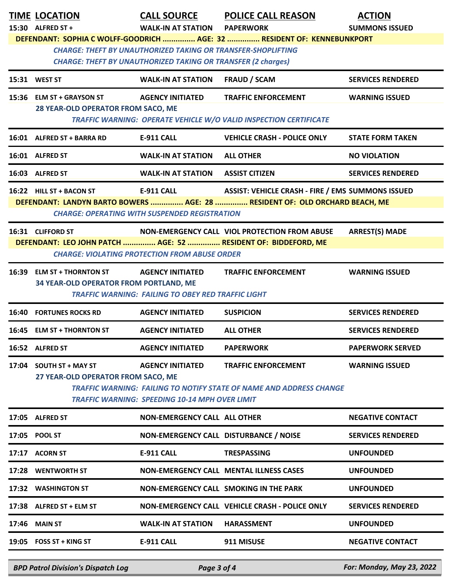|                                                                                                                                                                                                                       | <b>TIME LOCATION</b><br>15:30 ALFRED ST +                            | <b>CALL SOURCE</b><br><b>WALK-IN AT STATION</b>                                      | <b>POLICE CALL REASON</b><br><b>PAPERWORK</b>                                                                                           | <b>ACTION</b><br><b>SUMMONS ISSUED</b> |  |
|-----------------------------------------------------------------------------------------------------------------------------------------------------------------------------------------------------------------------|----------------------------------------------------------------------|--------------------------------------------------------------------------------------|-----------------------------------------------------------------------------------------------------------------------------------------|----------------------------------------|--|
| DEFENDANT: SOPHIA C WOLFF-GOODRICH  AGE: 32  RESIDENT OF: KENNEBUNKPORT<br><b>CHARGE: THEFT BY UNAUTHORIZED TAKING OR TRANSFER-SHOPLIFTING</b><br><b>CHARGE: THEFT BY UNAUTHORIZED TAKING OR TRANSFER (2 charges)</b> |                                                                      |                                                                                      |                                                                                                                                         |                                        |  |
|                                                                                                                                                                                                                       | 15:31 WEST ST                                                        | <b>WALK-IN AT STATION</b>                                                            | <b>FRAUD / SCAM</b>                                                                                                                     | <b>SERVICES RENDERED</b>               |  |
|                                                                                                                                                                                                                       | 15:36 ELM ST + GRAYSON ST<br>28 YEAR-OLD OPERATOR FROM SACO, ME      | <b>AGENCY INITIATED</b>                                                              | <b>TRAFFIC ENFORCEMENT</b><br><b>TRAFFIC WARNING: OPERATE VEHICLE W/O VALID INSPECTION CERTIFICATE</b>                                  | <b>WARNING ISSUED</b>                  |  |
|                                                                                                                                                                                                                       | 16:01 ALFRED ST + BARRA RD                                           | E-911 CALL                                                                           | <b>VEHICLE CRASH - POLICE ONLY</b>                                                                                                      | <b>STATE FORM TAKEN</b>                |  |
|                                                                                                                                                                                                                       | 16:01 ALFRED ST                                                      | <b>WALK-IN AT STATION</b>                                                            | <b>ALL OTHER</b>                                                                                                                        | <b>NO VIOLATION</b>                    |  |
|                                                                                                                                                                                                                       | 16:03 ALFRED ST                                                      | <b>WALK-IN AT STATION</b>                                                            | <b>ASSIST CITIZEN</b>                                                                                                                   | <b>SERVICES RENDERED</b>               |  |
|                                                                                                                                                                                                                       | 16:22 HILL ST + BACON ST                                             | <b>E-911 CALL</b><br><b>CHARGE: OPERATING WITH SUSPENDED REGISTRATION</b>            | <b>ASSIST: VEHICLE CRASH - FIRE / EMS SUMMONS ISSUED</b><br>DEFENDANT: LANDYN BARTO BOWERS  AGE: 28  RESIDENT OF: OLD ORCHARD BEACH, ME |                                        |  |
|                                                                                                                                                                                                                       | 16:31 CLIFFORD ST                                                    | <b>CHARGE: VIOLATING PROTECTION FROM ABUSE ORDER</b>                                 | NON-EMERGENCY CALL VIOL PROTECTION FROM ABUSE<br>DEFENDANT: LEO JOHN PATCH  AGE: 52  RESIDENT OF: BIDDEFORD, ME                         | <b>ARREST(S) MADE</b>                  |  |
|                                                                                                                                                                                                                       | 16:39 ELM ST + THORNTON ST<br>34 YEAR-OLD OPERATOR FROM PORTLAND, ME | <b>AGENCY INITIATED</b><br><b>TRAFFIC WARNING: FAILING TO OBEY RED TRAFFIC LIGHT</b> | <b>TRAFFIC ENFORCEMENT</b>                                                                                                              | <b>WARNING ISSUED</b>                  |  |
| 16:40                                                                                                                                                                                                                 | <b>FORTUNES ROCKS RD</b>                                             | <b>AGENCY INITIATED</b>                                                              | <b>SUSPICION</b>                                                                                                                        | <b>SERVICES RENDERED</b>               |  |
|                                                                                                                                                                                                                       | 16:45 ELM ST + THORNTON ST                                           | <b>AGENCY INITIATED</b>                                                              | <b>ALL OTHER</b>                                                                                                                        | <b>SERVICES RENDERED</b>               |  |
|                                                                                                                                                                                                                       | 16:52 ALFRED ST                                                      | <b>AGENCY INITIATED</b>                                                              | <b>PAPERWORK</b>                                                                                                                        | <b>PAPERWORK SERVED</b>                |  |
|                                                                                                                                                                                                                       | 17:04 SOUTH ST + MAY ST<br>27 YEAR-OLD OPERATOR FROM SACO, ME        | <b>AGENCY INITIATED</b><br>TRAFFIC WARNING: SPEEDING 10-14 MPH OVER LIMIT            | <b>TRAFFIC ENFORCEMENT</b><br><b>TRAFFIC WARNING: FAILING TO NOTIFY STATE OF NAME AND ADDRESS CHANGE</b>                                | <b>WARNING ISSUED</b>                  |  |
|                                                                                                                                                                                                                       | 17:05 ALFRED ST                                                      | <b>NON-EMERGENCY CALL ALL OTHER</b>                                                  |                                                                                                                                         | <b>NEGATIVE CONTACT</b>                |  |
|                                                                                                                                                                                                                       | 17:05 POOL ST                                                        | NON-EMERGENCY CALL DISTURBANCE / NOISE                                               |                                                                                                                                         | <b>SERVICES RENDERED</b>               |  |
|                                                                                                                                                                                                                       | 17:17 ACORN ST                                                       | E-911 CALL                                                                           | <b>TRESPASSING</b>                                                                                                                      | <b>UNFOUNDED</b>                       |  |
|                                                                                                                                                                                                                       | 17:28 WENTWORTH ST                                                   |                                                                                      | NON-EMERGENCY CALL MENTAL ILLNESS CASES                                                                                                 | <b>UNFOUNDED</b>                       |  |
|                                                                                                                                                                                                                       | 17:32 WASHINGTON ST                                                  | NON-EMERGENCY CALL SMOKING IN THE PARK                                               |                                                                                                                                         | <b>UNFOUNDED</b>                       |  |
|                                                                                                                                                                                                                       | 17:38 ALFRED ST + ELM ST                                             |                                                                                      | NON-EMERGENCY CALL VEHICLE CRASH - POLICE ONLY                                                                                          | <b>SERVICES RENDERED</b>               |  |
| 17:46                                                                                                                                                                                                                 | <b>MAIN ST</b>                                                       | <b>WALK-IN AT STATION</b>                                                            | <b>HARASSMENT</b>                                                                                                                       | <b>UNFOUNDED</b>                       |  |
|                                                                                                                                                                                                                       | 19:05 FOSS ST + KING ST                                              | E-911 CALL                                                                           | 911 MISUSE                                                                                                                              | <b>NEGATIVE CONTACT</b>                |  |

*BPD Patrol Division's Dispatch Log Page 3 of 4 For: Monday, May 23, 2022*